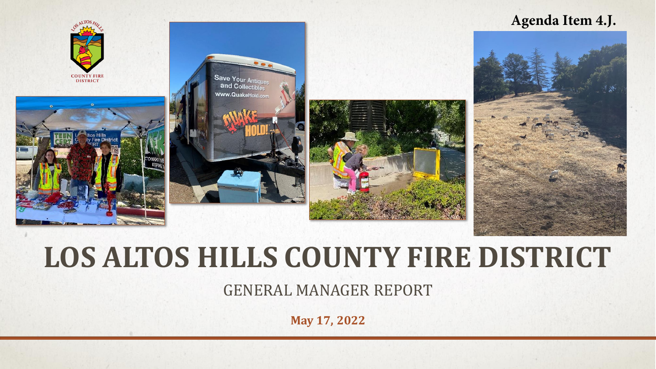#### **Agenda Item 4.J.**



# **LOS ALTOS HILLS COUNTY FIRE DISTRICT**

GENERAL MANAGER REPORT

**May 17, 2022**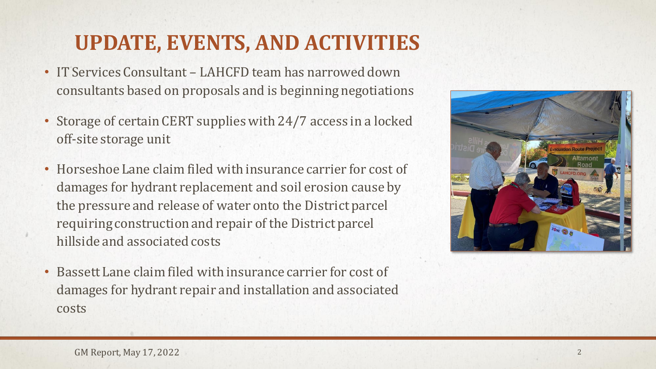# **UPDATE, EVENTS, AND ACTIVITIES**

- IT Services Consultant LAHCFD team has narrowed down consultants based on proposals and is beginning negotiations
- Storage of certain CERT supplies with 24/7 access in a locked off-site storage unit
- Horseshoe Lane claim filed with insurance carrier for cost of damages for hydrant replacement and soil erosion cause by the pressure and release of water onto the District parcel requiring construction and repair of the District parcel hillside and associated costs
- Bassett Lane claim filed with insurance carrier for cost of damages for hydrant repair and installation and associated costs

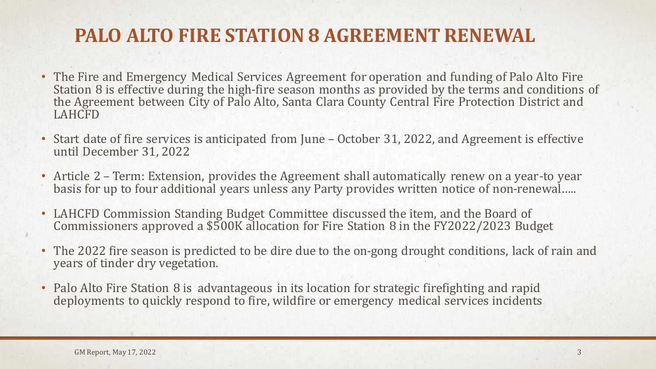## **PALO ALTO FIRE STATION 8 AGREEMENT RENEWAL**

- The Fire and Emergency Medical Services Agreement for operation and funding of Palo Alto Fire Station 8 is effective during the high-fire season months as provided by the terms and conditions of the Agreement between City of Palo Alto, Santa Clara County Central Fire Protection District and LAHCFD
- Start date of fire services is anticipated from June October 31, 2022, and Agreement is effective until December 31, 2022
- Article 2 Term: Extension, provides the Agreement shall automatically renew on a year-to year basis for up to four additional years unless any Party provides written notice of non-renewal…..
- LAHCFD Commission Standing Budget Committee discussed the item, and the Board of Commissioners approved a \$500K allocation for Fire Station 8 in the FY2022/2023 Budget
- The 2022 fire season is predicted to be dire due to the on-gong drought conditions, lack of rain and years of tinder dry vegetation.
- Palo Alto Fire Station 8 is advantageous in its location for strategic firefighting and rapid deployments to quickly respond to fire, wildfire or emergency medical services incidents